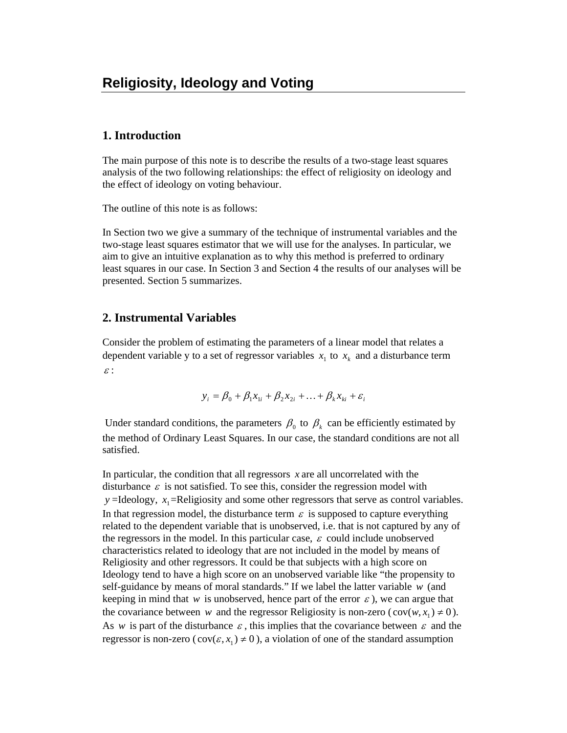# **1. Introduction**

The main purpose of this note is to describe the results of a two-stage least squares analysis of the two following relationships: the effect of religiosity on ideology and the effect of ideology on voting behaviour.

The outline of this note is as follows:

In Section two we give a summary of the technique of instrumental variables and the two-stage least squares estimator that we will use for the analyses. In particular, we aim to give an intuitive explanation as to why this method is preferred to ordinary least squares in our case. In Section 3 and Section 4 the results of our analyses will be presented. Section 5 summarizes.

### **2. Instrumental Variables**

Consider the problem of estimating the parameters of a linear model that relates a dependent variable y to a set of regressor variables  $x_1$  to  $x_k$  and a disturbance term <sup>ε</sup> :

$$
y_i = \beta_0 + \beta_1 x_{1i} + \beta_2 x_{2i} + \dots + \beta_k x_{ki} + \varepsilon_i
$$

Under standard conditions, the parameters  $\beta_0$  to  $\beta_k$  can be efficiently estimated by the method of Ordinary Least Squares. In our case, the standard conditions are not all satisfied.

In particular, the condition that all regressors *x* are all uncorrelated with the disturbance  $\varepsilon$  is not satisfied. To see this, consider the regression model with  $y =$ Ideology,  $x_1 =$ Religiosity and some other regressors that serve as control variables. In that regression model, the disturbance term  $\varepsilon$  is supposed to capture everything related to the dependent variable that is unobserved, i.e. that is not captured by any of the regressors in the model. In this particular case,  $\varepsilon$  could include unobserved characteristics related to ideology that are not included in the model by means of Religiosity and other regressors. It could be that subjects with a high score on Ideology tend to have a high score on an unobserved variable like "the propensity to self-guidance by means of moral standards." If we label the latter variable *w* (and keeping in mind that *w* is unobserved, hence part of the error  $\varepsilon$ ), we can argue that the covariance between *w* and the regressor Religiosity is non-zero ( $cov(w, x_1) \neq 0$ ). As *w* is part of the disturbance  $\varepsilon$ , this implies that the covariance between  $\varepsilon$  and the regressor is non-zero ( $cov(\epsilon, x_1) \neq 0$ ), a violation of one of the standard assumption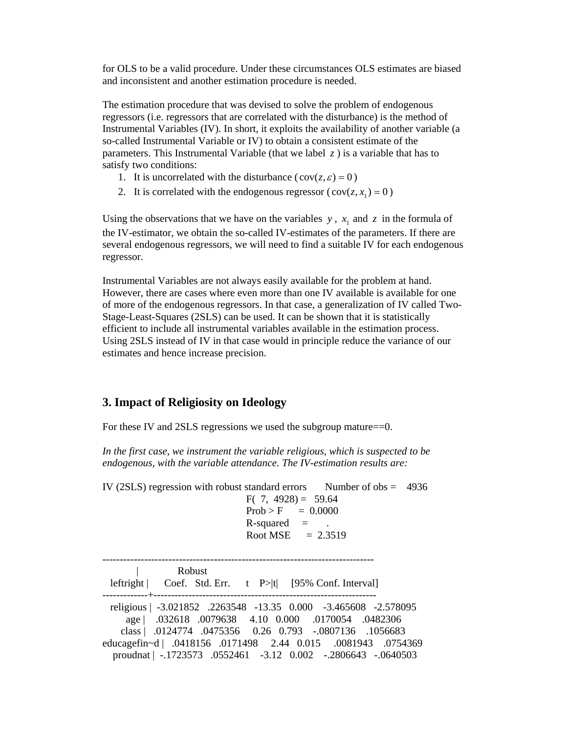for OLS to be a valid procedure. Under these circumstances OLS estimates are biased and inconsistent and another estimation procedure is needed.

The estimation procedure that was devised to solve the problem of endogenous regressors (i.e. regressors that are correlated with the disturbance) is the method of Instrumental Variables (IV). In short, it exploits the availability of another variable (a so-called Instrumental Variable or IV) to obtain a consistent estimate of the parameters. This Instrumental Variable (that we label  $\zeta$ ) is a variable that has to satisfy two conditions:

- 1. It is uncorrelated with the disturbance ( $cov(z,\varepsilon) = 0$ )
- 2. It is correlated with the endogenous regressor ( $cov(z, x_1) = 0$ )

Using the observations that we have on the variables  $y$ ,  $x_1$  and  $z$  in the formula of the IV-estimator, we obtain the so-called IV-estimates of the parameters. If there are several endogenous regressors, we will need to find a suitable IV for each endogenous regressor.

Instrumental Variables are not always easily available for the problem at hand. However, there are cases where even more than one IV available is available for one of more of the endogenous regressors. In that case, a generalization of IV called Two-Stage-Least-Squares (2SLS) can be used. It can be shown that it is statistically efficient to include all instrumental variables available in the estimation process. Using 2SLS instead of IV in that case would in principle reduce the variance of our estimates and hence increase precision.

### **3. Impact of Religiosity on Ideology**

For these IV and 2SLS regressions we used the subgroup mature==0.

*In the first case, we instrument the variable religious, which is suspected to be endogenous, with the variable attendance. The IV-estimation results are:* 

IV (2SLS) regression with robust standard errors Number of  $obs = 4936$ F( $7, 4928$ ) = 59.64  $Prob > F = 0.0000$  $R$ -squared  $=$ Root MSE  $= 2.3519$ ------------------------------------------------------------------------------ | Robust leftright  $|$  Coef. Std. Err. t P>|t| [95% Conf. Interval] -------------+--------------------------------------------------------------- religious | -3.021852 .2263548 -13.35 0.000 -3.465608 -2.578095 age | .032618 .0079638 4.10 0.000 .0170054 .0482306 class | .0124774 .0475356 0.26 0.793 -.0807136 .1056683 educagefin~d | .0418156 .0171498 2.44 0.015 .0081943 .0754369 proudnat | -.1723573 .0552461 -3.12 0.002 -.2806643 -.0640503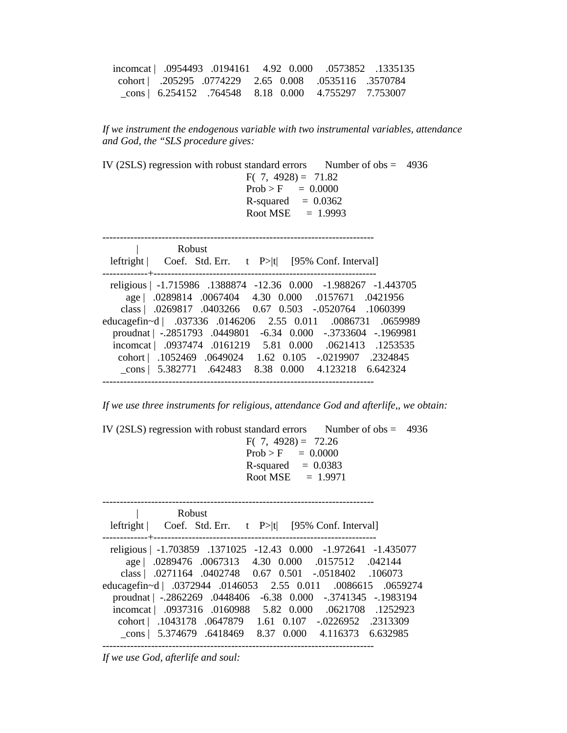|  |                                                             |  | incomcat   .0954493 .0194161 4.92 0.000 .0573852 .1335135 |
|--|-------------------------------------------------------------|--|-----------------------------------------------------------|
|  | cohort   .205295 .0774229 2.65 0.008 .0535116 .3570784      |  |                                                           |
|  | $\text{cons}$ 6.254152 .764548 8.18 0.000 4.755297 7.753007 |  |                                                           |

*If we instrument the endogenous variable with two instrumental variables, attendance and God, the "SLS procedure gives:* 

| IV (2SLS) regression with robust standard errors Number of $obs = 4936$<br>$F(7, 4928) = 71.82$<br>$Prob > F = 0.0000$<br>$R$ -squared = 0.0362<br>Root MSE $= 1.9993$                                                                                                                                                                                                                                                                                                                               |
|------------------------------------------------------------------------------------------------------------------------------------------------------------------------------------------------------------------------------------------------------------------------------------------------------------------------------------------------------------------------------------------------------------------------------------------------------------------------------------------------------|
| Robust                                                                                                                                                                                                                                                                                                                                                                                                                                                                                               |
| leftright $ $ Coef. Std. Err. t P> t  [95% Conf. Interval]                                                                                                                                                                                                                                                                                                                                                                                                                                           |
| religious   -1.715986 .1388874 -12.36 0.000 -1.988267 -1.443705<br>age   .0289814 .0067404 4.30 0.000 .0157671 .0421956<br>class   .0269817 .0403266 0.67 0.503 -.0520764 .1060399<br>educagefin~d   .037336 .0146206 2.55 0.011 .0086731 .0659989<br>proudnat   -.2851793 .0449801 -6.34 0.000 -.3733604 -.1969981<br>incomcat   .0937474 .0161219 5.81 0.000 .0621413 .1253535<br>cohort   .1052469 .0649024 1.62 0.105 -.0219907 .2324845<br>cons   5.382771 .642483 8.38 0.000 4.123218 6.642324 |

*If we use three instruments for religious, attendance God and afterlife,, we obtain:* 

IV (2SLS) regression with robust standard errors Number of obs  $= 4936$ F(  $7,4928$ ) =  $72.26$  $Prob > F = 0.0000$  $R$ -squared  $= 0.0383$ Root MSE  $= 1.9971$ 

------------------------------------------------------------------------------ | Robust leftright | Coef. Std. Err. t P>|t| [95% Conf. Interval] -------------+--------------------------------------------------------------- religious | -1.703859 .1371025 -12.43 0.000 -1.972641 -1.435077 age | .0289476 .0067313 4.30 0.000 .0157512 .042144 class | .0271164 .0402748 0.67 0.501 -.0518402 .106073 educagefin~d | .0372944 .0146053 2.55 0.011 .0086615 .0659274 proudnat | -.2862269 .0448406 -6.38 0.000 -.3741345 -.1983194 incomcat | .0937316 .0160988 5.82 0.000 .0621708 .1252923 cohort | .1043178 .0647879 1.61 0.107 -.0226952 .2313309 \_cons | 5.374679 .6418469 8.37 0.000 4.116373 6.632985 ------------------------------------------------------------------------------

*If we use God, afterlife and soul:*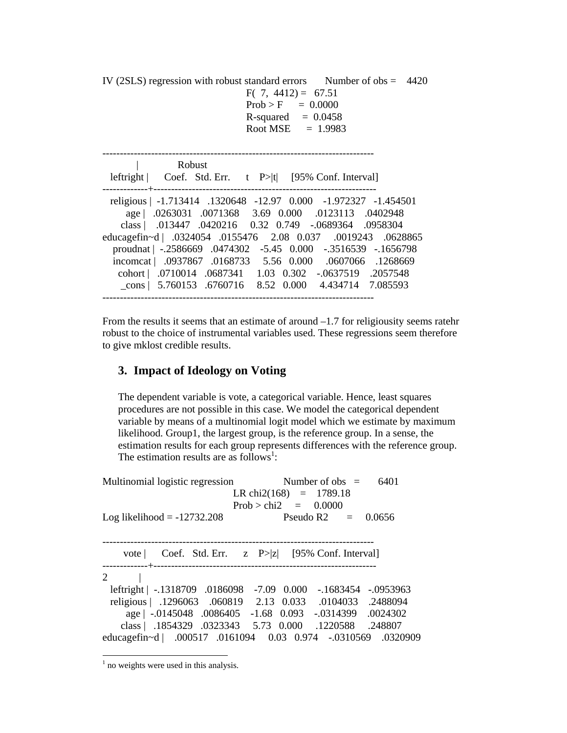IV (2SLS) regression with robust standard errors Number of obs  $= 4420$ F(  $7, 4412$ ) = 67.51  $Prob > F = 0.0000$  $R$ -squared  $= 0.0458$ Root MSE  $= 1.9983$ ------------------------------------------------------------------------------ | Robust leftright | Coef. Std. Err. t P>|t| [95% Conf. Interval] -------------+--------------------------------------------------------------- religious | -1.713414 .1320648 -12.97 0.000 -1.972327 -1.454501 age | .0263031 .0071368 3.69 0.000 .0123113 .0402948 class | .013447 .0420216 0.32 0.749 -.0689364 .0958304 educagefin~d | .0324054 .0155476 2.08 0.037 .0019243 .0628865 proudnat | -.2586669 .0474302 -5.45 0.000 -.3516539 -.1656798 incomcat | .0937867 .0168733 5.56 0.000 .0607066 .1268669 cohort | .0710014 .0687341 1.03 0.302 -.0637519 .2057548 \_cons | 5.760153 .6760716 8.52 0.000 4.434714 7.085593 ------------------------------------------------------------------------------

From the results it seems that an estimate of around –1.7 for religiousity seems ratehr robust to the choice of instrumental variables used. These regressions seem therefore to give mklost credible results.

### **3. Impact of Ideology on Voting**

The dependent variable is vote, a categorical variable. Hence, least squares procedures are not possible in this case. We model the categorical dependent variable by means of a multinomial logit model which we estimate by maximum likelihood. Group1, the largest group, is the reference group. In a sense, the estimation results for each group represents differences with the reference group. The estimation results are as follows<sup>1</sup>:

| Multinomial logistic regression | Number of obs $=$<br>6401<br>LR chi2(168) = $1789.18$                                                                                                                                                                                           |
|---------------------------------|-------------------------------------------------------------------------------------------------------------------------------------------------------------------------------------------------------------------------------------------------|
| Log likelihood $= -12732.208$   | Prob > chi2 = $0.0000$<br>Pseudo R2 $=$ 0.0656                                                                                                                                                                                                  |
| vote                            | Coef. Std. Err. $z \quad P >  z $ [95% Conf. Interval]                                                                                                                                                                                          |
| 2                               | leftright   -.1318709 .0186098 -7.09 0.000 -.1683454 -.0953963<br>religious   .1296063 .060819 2.13 0.033 .0104033 .2488094<br>age   -.0145048 .0086405 -1.68 0.093 -.0314399 .0024302<br>class   .1854329 .0323343 5.73 0.000 .1220588 .248807 |
|                                 | educagefin~d   .000517 .0161094 0.03 0.974 -.0310569 .0320909                                                                                                                                                                                   |

<sup>&</sup>lt;sup>1</sup> no weights were used in this analysis.

 $\overline{a}$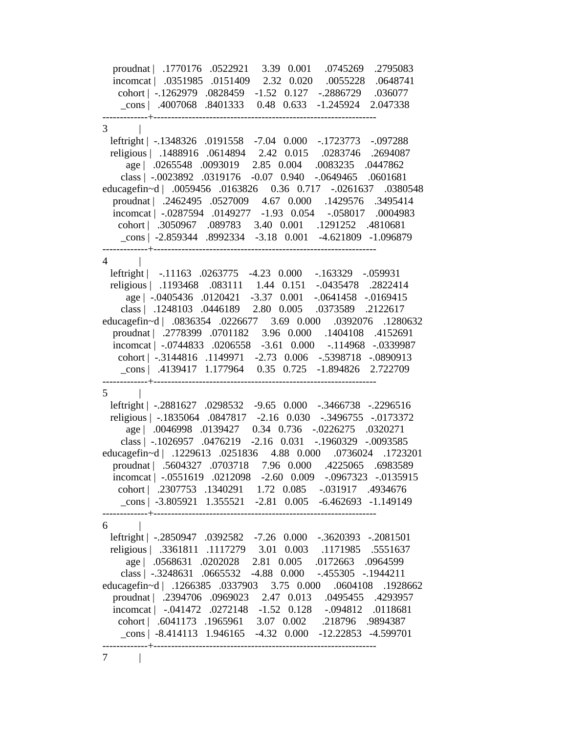proudnat | .1770176 .0522921 3.39 0.001 .0745269 .2795083 incomcat | .0351985 .0151409 2.32 0.020 .0055228 .0648741 cohort | -.1262979 .0828459 -1.52 0.127 -.2886729 .036077 \_cons | .4007068 .8401333 0.48 0.633 -1.245924 2.047338 -------------+----------------------------------------------------------------  $3 \mid$  leftright | -.1348326 .0191558 -7.04 0.000 -.1723773 -.097288 religious | .1488916 .0614894 2.42 0.015 .0283746 .2694087 age | .0265548 .0093019 2.85 0.004 .0083235 .0447862 class | -.0023892 .0319176 -0.07 0.940 -.0649465 .0601681 educagefin~d | .0059456 .0163826 0.36 0.717 -.0261637 .0380548 proudnat | .2462495 .0527009 4.67 0.000 .1429576 .3495414 incomcat | -.0287594 .0149277 -1.93 0.054 -.058017 .0004983 cohort | .3050967 .089783 3.40 0.001 .1291252 .4810681 \_cons | -2.859344 .8992334 -3.18 0.001 -4.621809 -1.096879 -------------+----------------------------------------------------------------  $4$  | leftright | -.11163 .0263775 -4.23 0.000 -.163329 -.059931 religious | .1193468 .083111 1.44 0.151 -.0435478 .2822414 age | -.0405436 .0120421 -3.37 0.001 -.0641458 -.0169415 class | .1248103 .0446189 2.80 0.005 .0373589 .2122617 educagefin~d | .0836354 .0226677 3.69 0.000 .0392076 .1280632 proudnat | .2778399 .0701182 3.96 0.000 .1404108 .4152691 incomcat | -.0744833 .0206558 -3.61 0.000 -.114968 -.0339987 cohort | -.3144816 .1149971 -2.73 0.006 -.5398718 -.0890913 \_cons | .4139417 1.177964 0.35 0.725 -1.894826 2.722709 -------------+----------------------------------------------------------------  $5 \qquad \qquad$  leftright | -.2881627 .0298532 -9.65 0.000 -.3466738 -.2296516 religious | -.1835064 .0847817 -2.16 0.030 -.3496755 -.0173372 age | .0046998 .0139427 0.34 0.736 -.0226275 .0320271 class | -.1026957 .0476219 -2.16 0.031 -.1960329 -.0093585 educagefin~d | .1229613 .0251836 4.88 0.000 .0736024 .1723201 proudnat | .5604327 .0703718 7.96 0.000 .4225065 .6983589 incomcat | -.0551619 .0212098 -2.60 0.009 -.0967323 -.0135915 cohort | .2307753 .1340291 1.72 0.085 -.031917 .4934676 \_cons | -3.805921 1.355521 -2.81 0.005 -6.462693 -1.149149 -------------+----------------------------------------------------------------  $6$  | leftright | -.2850947 .0392582 -7.26 0.000 -.3620393 -.2081501 religious | .3361811 .1117279 3.01 0.003 .1171985 .5551637 age | .0568631 .0202028 2.81 0.005 .0172663 .0964599 class | -.3248631 .0665532 -4.88 0.000 -.455305 -.1944211 educagefin~d | .1266385 .0337903 3.75 0.000 .0604108 .1928662 proudnat | .2394706 .0969023 2.47 0.013 .0495455 .4293957 incomcat | -.041472 .0272148 -1.52 0.128 -.094812 .0118681 cohort | .6041173 .1965961 3.07 0.002 .218796 .9894387 \_cons | -8.414113 1.946165 -4.32 0.000 -12.22853 -4.599701 -------------+----------------------------------------------------------------  $7 \quad \vert$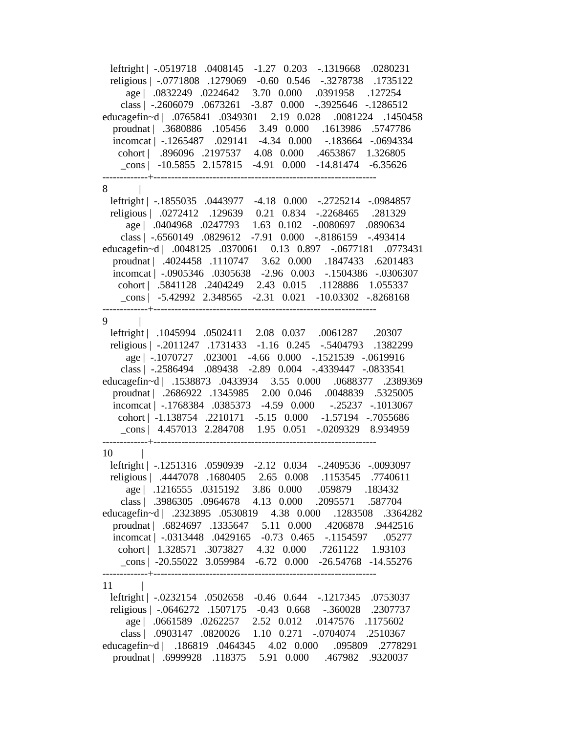leftright | -.0519718 .0408145 -1.27 0.203 -.1319668 .0280231 religious | -.0771808 .1279069 -0.60 0.546 -.3278738 .1735122 age | .0832249 .0224642 3.70 0.000 .0391958 .127254 class | -.2606079 .0673261 -3.87 0.000 -.3925646 -.1286512 educagefin~d | .0765841 .0349301 2.19 0.028 .0081224 .1450458 proudnat | .3680886 .105456 3.49 0.000 .1613986 .5747786 incomcat | -.1265487 .029141 -4.34 0.000 -.183664 -.0694334 cohort | .896096 .2197537 4.08 0.000 .4653867 1.326805 \_cons | -10.5855 2.157815 -4.91 0.000 -14.81474 -6.35626 -------------+---------------------------------------------------------------- 8 | leftright | -.1855035 .0443977 -4.18 0.000 -.2725214 -.0984857 religious | .0272412 .129639 0.21 0.834 -.2268465 .281329 age | .0404968 .0247793 1.63 0.102 -.0080697 .0890634 class | -.6560149 .0829612 -7.91 0.000 -.8186159 -.493414 educagefin~d | .0048125 .0370061 0.13 0.897 -.0677181 .0773431 proudnat | .4024458 .1110747 3.62 0.000 .1847433 .6201483 incomcat | -.0905346 .0305638 -2.96 0.003 -.1504386 -.0306307 cohort | .5841128 .2404249 2.43 0.015 .1128886 1.055337 \_cons | -5.42992 2.348565 -2.31 0.021 -10.03302 -.8268168 -------------+----------------------------------------------------------------  $9 \qquad \qquad$ leftright | .1045994 .0502411 2.08 0.037 .0061287 .20307 religious | -.2011247 .1731433 -1.16 0.245 -.5404793 .1382299 age | -.1070727 .023001 -4.66 0.000 -.1521539 -.0619916 class | -.2586494 .089438 -2.89 0.004 -.4339447 -.0833541 educagefin~d | .1538873 .0433934 3.55 0.000 .0688377 .2389369 proudnat | .2686922 .1345985 2.00 0.046 .0048839 .5325005 incomcat | -.1768384 .0385373 -4.59 0.000 -.25237 -.1013067 cohort | -1.138754 .2210171 -5.15 0.000 -1.57194 -.7055686 \_cons | 4.457013 2.284708 1.95 0.051 -.0209329 8.934959 -------------+---------------------------------------------------------------- 10 | leftright | -.1251316 .0590939 -2.12 0.034 -.2409536 -.0093097 religious | .4447078 .1680405 2.65 0.008 .1153545 .7740611 age | .1216555 .0315192 3.86 0.000 .059879 .183432 class | .3986305 .0964678 4.13 0.000 .2095571 .587704 educagefin~d | .2323895 .0530819 4.38 0.000 .1283508 .3364282 proudnat | .6824697 .1335647 5.11 0.000 .4206878 .9442516 incomcat | -.0313448 .0429165 -0.73 0.465 -.1154597 .05277 cohort | 1.328571 .3073827 4.32 0.000 .7261122 1.93103 \_cons | -20.55022 3.059984 -6.72 0.000 -26.54768 -14.55276 -------------+---------------------------------------------------------------- 11 | leftright | -.0232154 .0502658 -0.46 0.644 -.1217345 .0753037 religious | -.0646272 .1507175 -0.43 0.668 -.360028 .2307737 age | .0661589 .0262257 2.52 0.012 .0147576 .1175602 class | .0903147 .0820026 1.10 0.271 -.0704074 .2510367 educagefin~d | .186819 .0464345 4.02 0.000 .095809 .2778291 proudnat | .6999928 .118375 5.91 0.000 .467982 .9320037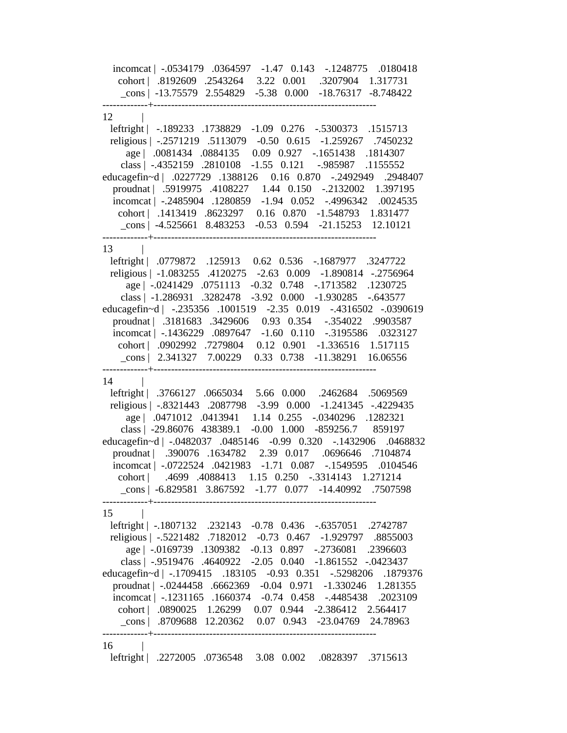incomcat | -.0534179 .0364597 -1.47 0.143 -.1248775 .0180418 cohort | .8192609 .2543264 3.22 0.001 .3207904 1.317731 \_cons | -13.75579 2.554829 -5.38 0.000 -18.76317 -8.748422 -------------+---------------------------------------------------------------- 12 | leftright | -.189233 .1738829 -1.09 0.276 -.5300373 .1515713 religious | -.2571219 .5113079 -0.50 0.615 -1.259267 .7450232 age | .0081434 .0884135 0.09 0.927 -.1651438 .1814307 class | -.4352159 .2810108 -1.55 0.121 -.985987 .1155552 educagefin~d | .0227729 .1388126 0.16 0.870 -.2492949 .2948407 proudnat | .5919975 .4108227 1.44 0.150 -.2132002 1.397195 incomcat | -.2485904 .1280859 -1.94 0.052 -.4996342 .0024535 cohort | .1413419 .8623297 0.16 0.870 -1.548793 1.831477 \_cons | -4.525661 8.483253 -0.53 0.594 -21.15253 12.10121 -------------+----------------------------------------------------------------  $13$  | leftright | .0779872 .125913 0.62 0.536 -.1687977 .3247722 religious | -1.083255 .4120275 -2.63 0.009 -1.890814 -.2756964 age | -.0241429 .0751113 -0.32 0.748 -.1713582 .1230725 class | -1.286931 .3282478 -3.92 0.000 -1.930285 -.643577 educagefin~d | -.235356 .1001519 -2.35 0.019 -.4316502 -.0390619 proudnat | .3181683 .3429606 0.93 0.354 -.354022 .9903587 incomcat | -.1436229 .0897647 -1.60 0.110 -.3195586 .0323127 cohort | .0902992 .7279804 0.12 0.901 -1.336516 1.517115 \_cons | 2.341327 7.00229 0.33 0.738 -11.38291 16.06556 -------------+----------------------------------------------------------------  $14$  | leftright | .3766127 .0665034 5.66 0.000 .2462684 .5069569 religious | -.8321443 .2087798 -3.99 0.000 -1.241345 -.4229435 age | .0471012 .0413941 1.14 0.255 -.0340296 .1282321 class | -29.86076 438389.1 -0.00 1.000 -859256.7 859197 educagefin~d | -.0482037 .0485146 -0.99 0.320 -.1432906 .0468832 proudnat | .390076 .1634782 2.39 0.017 .0696646 .7104874 incomcat | -.0722524 .0421983 -1.71 0.087 -.1549595 .0104546 cohort | .4699 .4088413 1.15 0.250 -.3314143 1.271214 \_cons | -6.829581 3.867592 -1.77 0.077 -14.40992 .7507598 -------------+----------------------------------------------------------------  $15$  | leftright | -.1807132 .232143 -0.78 0.436 -.6357051 .2742787 religious | -.5221482 .7182012 -0.73 0.467 -1.929797 .8855003 age | -.0169739 .1309382 -0.13 0.897 -.2736081 .2396603 class | -.9519476 .4640922 -2.05 0.040 -1.861552 -.0423437 educagefin~d | -.1709415 .183105 -0.93 0.351 -.5298206 .1879376 proudnat | -.0244458 .6662369 -0.04 0.971 -1.330246 1.281355 incomcat | -.1231165 .1660374 -0.74 0.458 -.4485438 .2023109 cohort | .0890025 1.26299 0.07 0.944 -2.386412 2.564417 \_cons | .8709688 12.20362 0.07 0.943 -23.04769 24.78963 -------------+---------------------------------------------------------------- 16 | leftright | .2272005 .0736548 3.08 0.002 .0828397 .3715613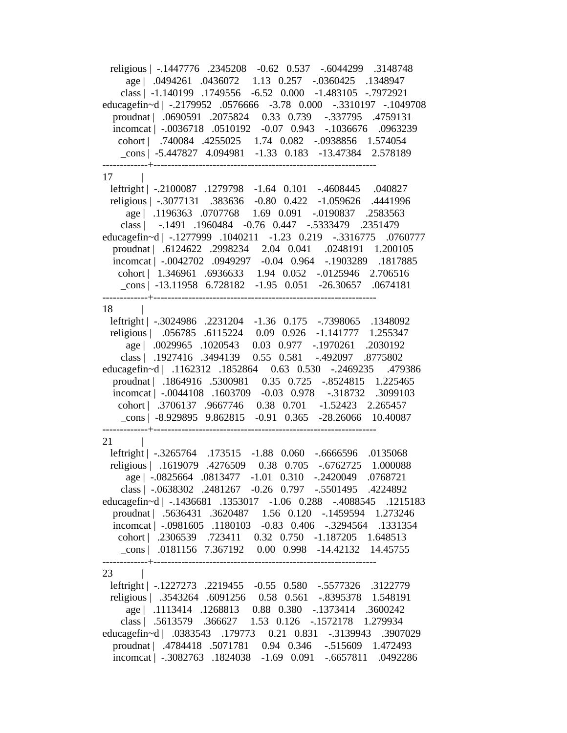religious | -.1447776 .2345208 -0.62 0.537 -.6044299 .3148748 age | .0494261 .0436072 1.13 0.257 -.0360425 .1348947 class | -1.140199 .1749556 -6.52 0.000 -1.483105 -.7972921 educagefin~d | -.2179952 .0576666 -3.78 0.000 -.3310197 -.1049708 proudnat | .0690591 .2075824 0.33 0.739 -.337795 .4759131 incomcat | -.0036718 .0510192 -0.07 0.943 -.1036676 .0963239 cohort | .740084 .4255025 1.74 0.082 -.0938856 1.574054 \_cons | -5.447827 4.094981 -1.33 0.183 -13.47384 2.578189 -------------+----------------------------------------------------------------  $17$  | leftright | -.2100087 .1279798 -1.64 0.101 -.4608445 .040827 religious | -.3077131 .383636 -0.80 0.422 -1.059626 .4441996 age | .1196363 .0707768 1.69 0.091 -.0190837 .2583563 class | -.1491 .1960484 -0.76 0.447 -.5333479 .2351479 educagefin~d | -.1277999 .1040211 -1.23 0.219 -.3316775 .0760777 proudnat | .6124622 .2998234 2.04 0.041 .0248191 1.200105 incomcat | -.0042702 .0949297 -0.04 0.964 -.1903289 .1817885 cohort | 1.346961 .6936633 1.94 0.052 -.0125946 2.706516 \_cons | -13.11958 6.728182 -1.95 0.051 -26.30657 .0674181 -------------+---------------------------------------------------------------- 18 | leftright | -.3024986 .2231204 -1.36 0.175 -.7398065 .1348092 religious | .056785 .6115224 0.09 0.926 -1.141777 1.255347 age | .0029965 .1020543 0.03 0.977 -.1970261 .2030192 class | .1927416 .3494139 0.55 0.581 -.492097 .8775802 educagefin~d | .1162312 .1852864 0.63 0.530 -.2469235 .479386 proudnat | .1864916 .5300981 0.35 0.725 -.8524815 1.225465 incomcat | -.0044108 .1603709 -0.03 0.978 -.318732 .3099103 cohort | .3706137 .9667746 0.38 0.701 -1.52423 2.265457 \_cons | -8.929895 9.862815 -0.91 0.365 -28.26066 10.40087 -------------+----------------------------------------------------------------  $21$  | leftright | -.3265764 .173515 -1.88 0.060 -.6666596 .0135068 religious | .1619079 .4276509 0.38 0.705 -.6762725 1.000088 age | -.0825664 .0813477 -1.01 0.310 -.2420049 .0768721 class | -.0638302 .2481267 -0.26 0.797 -.5501495 .4224892 educagefin~d | -.1436681 .1353017 -1.06 0.288 -.4088545 .1215183 proudnat | .5636431 .3620487 1.56 0.120 -.1459594 1.273246 incomcat | -.0981605 .1180103 -0.83 0.406 -.3294564 .1331354 cohort | .2306539 .723411 0.32 0.750 -1.187205 1.648513 \_cons | .0181156 7.367192 0.00 0.998 -14.42132 14.45755 -------------+---------------------------------------------------------------- 23 | leftright | -.1227273 .2219455 -0.55 0.580 -.5577326 .3122779 religious | .3543264 .6091256 0.58 0.561 -.8395378 1.548191 age | .1113414 .1268813 0.88 0.380 -.1373414 .3600242 class | .5613579 .366627 1.53 0.126 -.1572178 1.279934 educagefin~d | .0383543 .179773 0.21 0.831 -.3139943 .3907029 proudnat | .4784418 .5071781 0.94 0.346 -.515609 1.472493 incomcat | -.3082763 .1824038 -1.69 0.091 -.6657811 .0492286